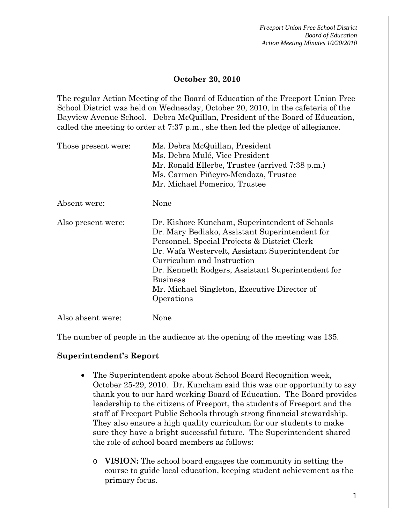#### **October 20, 2010**

The regular Action Meeting of the Board of Education of the Freeport Union Free School District was held on Wednesday, October 20, 2010, in the cafeteria of the Bayview Avenue School. Debra McQuillan, President of the Board of Education, called the meeting to order at 7:37 p.m., she then led the pledge of allegiance.

| Those present were: | Ms. Debra McQuillan, President                    |  |  |
|---------------------|---------------------------------------------------|--|--|
|                     | Ms. Debra Mulé, Vice President                    |  |  |
|                     | Mr. Ronald Ellerbe, Trustee (arrived 7:38 p.m.)   |  |  |
|                     | Ms. Carmen Piñeyro-Mendoza, Trustee               |  |  |
|                     | Mr. Michael Pomerico, Trustee                     |  |  |
| Absent were:        | None                                              |  |  |
| Also present were:  | Dr. Kishore Kuncham, Superintendent of Schools    |  |  |
|                     | Dr. Mary Bediako, Assistant Superintendent for    |  |  |
|                     | Personnel, Special Projects & District Clerk      |  |  |
|                     | Dr. Wafa Westervelt, Assistant Superintendent for |  |  |
|                     | Curriculum and Instruction                        |  |  |
|                     | Dr. Kenneth Rodgers, Assistant Superintendent for |  |  |
|                     | <b>Business</b>                                   |  |  |
|                     | Mr. Michael Singleton, Executive Director of      |  |  |
|                     | Operations                                        |  |  |
| Also absent were:   | None                                              |  |  |

The number of people in the audience at the opening of the meeting was 135.

#### **Superintendent's Report**

- The Superintendent spoke about School Board Recognition week, October 25-29, 2010. Dr. Kuncham said this was our opportunity to say thank you to our hard working Board of Education. The Board provides leadership to the citizens of Freeport, the students of Freeport and the staff of Freeport Public Schools through strong financial stewardship. They also ensure a high quality curriculum for our students to make sure they have a bright successful future. The Superintendent shared the role of school board members as follows:
	- o **VISION:** The school board engages the community in setting the course to guide local education, keeping student achievement as the primary focus.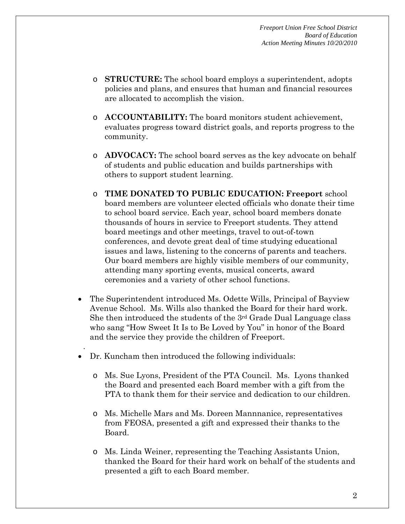- o **STRUCTURE:** The school board employs a superintendent, adopts policies and plans, and ensures that human and financial resources are allocated to accomplish the vision.
- o **ACCOUNTABILITY:** The board monitors student achievement, evaluates progress toward district goals, and reports progress to the community.
- o **ADVOCACY:** The school board serves as the key advocate on behalf of students and public education and builds partnerships with others to support student learning.
- o **TIME DONATED TO PUBLIC EDUCATION: Freeport** school board members are volunteer elected officials who donate their time to school board service. Each year, school board members donate thousands of hours in service to Freeport students. They attend board meetings and other meetings, travel to out-of-town conferences, and devote great deal of time studying educational issues and laws, listening to the concerns of parents and teachers. Our board members are highly visible members of our community, attending many sporting events, musical concerts, award ceremonies and a variety of other school functions.
- The Superintendent introduced Ms. Odette Wills, Principal of Bayview Avenue School. Ms. Wills also thanked the Board for their hard work. She then introduced the students of the 3rd Grade Dual Language class who sang "How Sweet It Is to Be Loved by You" in honor of the Board and the service they provide the children of Freeport.
- Dr. Kuncham then introduced the following individuals:

.

- o Ms. Sue Lyons, President of the PTA Council. Ms. Lyons thanked the Board and presented each Board member with a gift from the PTA to thank them for their service and dedication to our children.
- o Ms. Michelle Mars and Ms. Doreen Mannnanice, representatives from FEOSA, presented a gift and expressed their thanks to the Board.
- o Ms. Linda Weiner, representing the Teaching Assistants Union, thanked the Board for their hard work on behalf of the students and presented a gift to each Board member.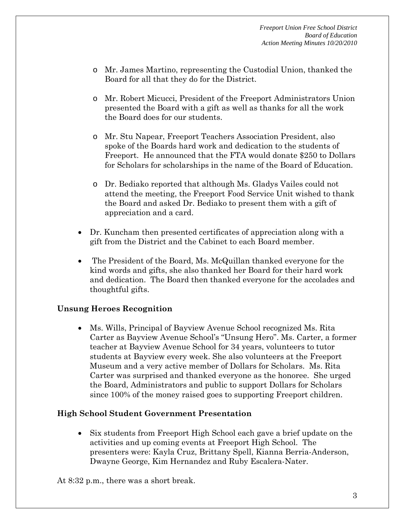- o Mr. James Martino, representing the Custodial Union, thanked the Board for all that they do for the District.
- o Mr. Robert Micucci, President of the Freeport Administrators Union presented the Board with a gift as well as thanks for all the work the Board does for our students.
- o Mr. Stu Napear, Freeport Teachers Association President, also spoke of the Boards hard work and dedication to the students of Freeport. He announced that the FTA would donate \$250 to Dollars for Scholars for scholarships in the name of the Board of Education.
- o Dr. Bediako reported that although Ms. Gladys Vailes could not attend the meeting, the Freeport Food Service Unit wished to thank the Board and asked Dr. Bediako to present them with a gift of appreciation and a card.
- Dr. Kuncham then presented certificates of appreciation along with a gift from the District and the Cabinet to each Board member.
- The President of the Board, Ms. McQuillan thanked everyone for the kind words and gifts, she also thanked her Board for their hard work and dedication. The Board then thanked everyone for the accolades and thoughtful gifts.

## **Unsung Heroes Recognition**

• Ms. Wills, Principal of Bayview Avenue School recognized Ms. Rita Carter as Bayview Avenue School's "Unsung Hero". Ms. Carter, a former teacher at Bayview Avenue School for 34 years, volunteers to tutor students at Bayview every week. She also volunteers at the Freeport Museum and a very active member of Dollars for Scholars. Ms. Rita Carter was surprised and thanked everyone as the honoree. She urged the Board, Administrators and public to support Dollars for Scholars since 100% of the money raised goes to supporting Freeport children.

## **High School Student Government Presentation**

• Six students from Freeport High School each gave a brief update on the activities and up coming events at Freeport High School. The presenters were: Kayla Cruz, Brittany Spell, Kianna Berria-Anderson, Dwayne George, Kim Hernandez and Ruby Escalera-Nater.

At 8:32 p.m., there was a short break.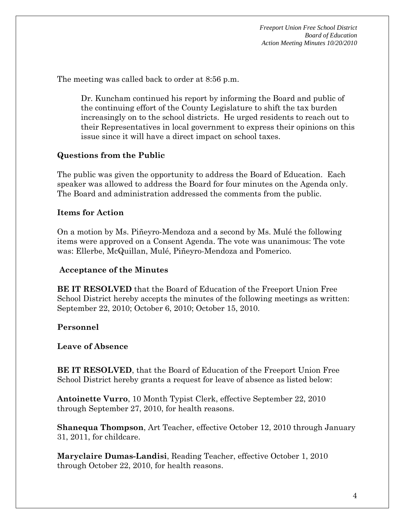The meeting was called back to order at 8:56 p.m.

Dr. Kuncham continued his report by informing the Board and public of the continuing effort of the County Legislature to shift the tax burden increasingly on to the school districts. He urged residents to reach out to their Representatives in local government to express their opinions on this issue since it will have a direct impact on school taxes.

# **Questions from the Public**

The public was given the opportunity to address the Board of Education. Each speaker was allowed to address the Board for four minutes on the Agenda only. The Board and administration addressed the comments from the public.

# **Items for Action**

On a motion by Ms. Piñeyro-Mendoza and a second by Ms. Mulé the following items were approved on a Consent Agenda. The vote was unanimous: The vote was: Ellerbe, McQuillan, Mulé, Piñeyro-Mendoza and Pomerico.

## **Acceptance of the Minutes**

**BE IT RESOLVED** that the Board of Education of the Freeport Union Free School District hereby accepts the minutes of the following meetings as written: September 22, 2010; October 6, 2010; October 15, 2010.

# **Personnel**

## **Leave of Absence**

**BE IT RESOLVED**, that the Board of Education of the Freeport Union Free School District hereby grants a request for leave of absence as listed below:

**Antoinette Vurro**, 10 Month Typist Clerk, effective September 22, 2010 through September 27, 2010, for health reasons.

**Shanequa Thompson**, Art Teacher, effective October 12, 2010 through January 31, 2011, for childcare.

**Maryclaire Dumas-Landisi**, Reading Teacher, effective October 1, 2010 through October 22, 2010, for health reasons.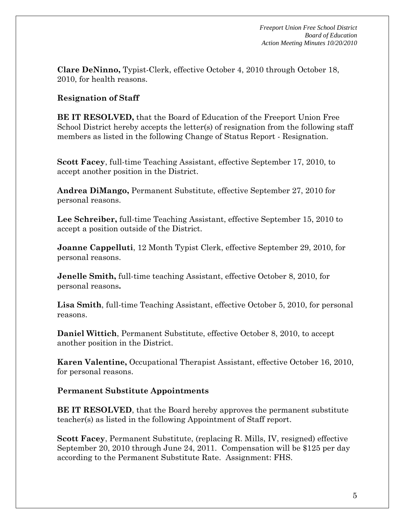**Clare DeNinno,** Typist-Clerk, effective October 4, 2010 through October 18, 2010, for health reasons.

# **Resignation of Staff**

**BE IT RESOLVED,** that the Board of Education of the Freeport Union Free School District hereby accepts the letter(s) of resignation from the following staff members as listed in the following Change of Status Report - Resignation.

**Scott Facey**, full-time Teaching Assistant, effective September 17, 2010, to accept another position in the District.

**Andrea DiMango,** Permanent Substitute, effective September 27, 2010 for personal reasons.

**Lee Schreiber,** full-time Teaching Assistant, effective September 15, 2010 to accept a position outside of the District.

**Joanne Cappelluti**, 12 Month Typist Clerk, effective September 29, 2010, for personal reasons.

**Jenelle Smith,** full-time teaching Assistant, effective October 8, 2010, for personal reasons**.**

**Lisa Smith**, full-time Teaching Assistant, effective October 5, 2010, for personal reasons.

**Daniel Wittich**, Permanent Substitute, effective October 8, 2010, to accept another position in the District.

**Karen Valentine,** Occupational Therapist Assistant, effective October 16, 2010, for personal reasons.

## **Permanent Substitute Appointments**

**BE IT RESOLVED**, that the Board hereby approves the permanent substitute teacher(s) as listed in the following Appointment of Staff report.

**Scott Facey**, Permanent Substitute, (replacing R. Mills, IV, resigned) effective September 20, 2010 through June 24, 2011. Compensation will be \$125 per day according to the Permanent Substitute Rate. Assignment: FHS.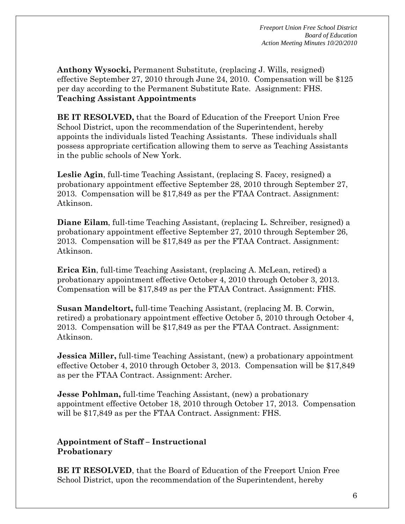**Anthony Wysocki,** Permanent Substitute, (replacing J. Wills, resigned) effective September 27, 2010 through June 24, 2010. Compensation will be \$125 per day according to the Permanent Substitute Rate. Assignment: FHS. **Teaching Assistant Appointments** 

**BE IT RESOLVED,** that the Board of Education of the Freeport Union Free School District, upon the recommendation of the Superintendent, hereby appoints the individuals listed Teaching Assistants. These individuals shall possess appropriate certification allowing them to serve as Teaching Assistants in the public schools of New York.

**Leslie Agin**, full-time Teaching Assistant, (replacing S. Facey, resigned) a probationary appointment effective September 28, 2010 through September 27, 2013. Compensation will be \$17,849 as per the FTAA Contract. Assignment: Atkinson.

**Diane Eilam**, full-time Teaching Assistant, (replacing L. Schreiber, resigned) a probationary appointment effective September 27, 2010 through September 26, 2013. Compensation will be \$17,849 as per the FTAA Contract. Assignment: Atkinson.

**Erica Ein**, full-time Teaching Assistant, (replacing A. McLean, retired) a probationary appointment effective October 4, 2010 through October 3, 2013. Compensation will be \$17,849 as per the FTAA Contract. Assignment: FHS.

**Susan Mandeltort,** full-time Teaching Assistant, (replacing M. B. Corwin, retired) a probationary appointment effective October 5, 2010 through October 4, 2013. Compensation will be \$17,849 as per the FTAA Contract. Assignment: Atkinson.

**Jessica Miller, full-time Teaching Assistant, (new) a probationary appointment** effective October 4, 2010 through October 3, 2013. Compensation will be \$17,849 as per the FTAA Contract. Assignment: Archer.

**Jesse Pohlman,** full-time Teaching Assistant, (new) a probationary appointment effective October 18, 2010 through October 17, 2013. Compensation will be \$17,849 as per the FTAA Contract. Assignment: FHS.

#### **Appointment of Staff – Instructional Probationary**

**BE IT RESOLVED**, that the Board of Education of the Freeport Union Free School District, upon the recommendation of the Superintendent, hereby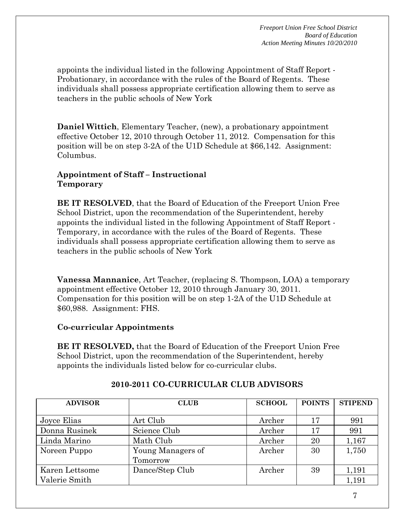appoints the individual listed in the following Appointment of Staff Report - Probationary, in accordance with the rules of the Board of Regents. These individuals shall possess appropriate certification allowing them to serve as teachers in the public schools of New York

**Daniel Wittich**, Elementary Teacher, (new), a probationary appointment effective October 12, 2010 through October 11, 2012. Compensation for this position will be on step 3-2A of the U1D Schedule at \$66,142. Assignment: Columbus.

#### **Appointment of Staff – Instructional Temporary**

**BE IT RESOLVED**, that the Board of Education of the Freeport Union Free School District, upon the recommendation of the Superintendent, hereby appoints the individual listed in the following Appointment of Staff Report - Temporary, in accordance with the rules of the Board of Regents. These individuals shall possess appropriate certification allowing them to serve as teachers in the public schools of New York

**Vanessa Mannanice**, Art Teacher, (replacing S. Thompson, LOA) a temporary appointment effective October 12, 2010 through January 30, 2011. Compensation for this position will be on step 1-2A of the U1D Schedule at \$60,988. Assignment: FHS.

**Co-curricular Appointments** 

**BE IT RESOLVED,** that the Board of Education of the Freeport Union Free School District, upon the recommendation of the Superintendent, hereby appoints the individuals listed below for co-curricular clubs.

| <b>ADVISOR</b> | <b>CLUB</b>                   | <b>SCHOOL</b> | <b>POINTS</b> | <b>STIPEND</b> |
|----------------|-------------------------------|---------------|---------------|----------------|
| Joyce Elias    | Art Club                      | Archer        | 17            | 991            |
| Donna Rusinek  | Science Club                  | Archer        | 17            | 991            |
| Linda Marino   | Math Club                     | Archer        | 20            | 1,167          |
| Noreen Puppo   | Young Managers of<br>Tomorrow | Archer        | 30            | 1,750          |
| Karen Lettsome | Dance/Step Club               | Archer        | 39            | 1,191          |
| Valerie Smith  |                               |               |               | 1,191          |

# **2010-2011 CO-CURRICULAR CLUB ADVISORS**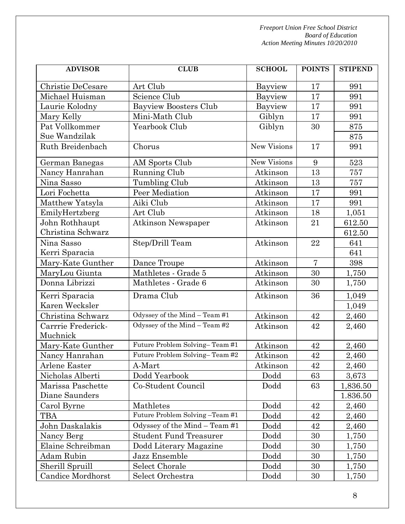| <b>ADVISOR</b>     | <b>CLUB</b>                     | <b>SCHOOL</b> | <b>POINTS</b>  | <b>STIPEND</b> |
|--------------------|---------------------------------|---------------|----------------|----------------|
| Christie DeCesare  | Art Club                        | Bayview       | 17             | 991            |
| Michael Huisman    | Science Club                    | Bayview       | 17             | 991            |
| Laurie Kolodny     | <b>Bayview Boosters Club</b>    | Bayview       | 17             | 991            |
| Mary Kelly         | Mini-Math Club                  | Giblyn        | 17             | 991            |
| Pat Vollkommer     | Yearbook Club                   | Giblyn        | 30             | 875            |
| Sue Wandzilak      |                                 |               |                | 875            |
| Ruth Breidenbach   | Chorus                          | New Visions   | 17             | 991            |
| German Banegas     | AM Sports Club                  | New Visions   | 9              | 523            |
| Nancy Hanrahan     | Running Club                    | Atkinson      | 13             | 757            |
| Nina Sasso         | Tumbling Club                   | Atkinson      | 13             | 757            |
| Lori Fochetta      | Peer Mediation                  | Atkinson      | 17             | 991            |
| Matthew Yatsyla    | Aiki Club                       | Atkinson      | 17             | 991            |
| EmilyHertzberg     | Art Club                        | Atkinson      | 18             | 1,051          |
| John Rothhaupt     | <b>Atkinson Newspaper</b>       | Atkinson      | 21             | 612.50         |
| Christina Schwarz  |                                 |               |                | 612.50         |
| Nina Sasso         | Step/Drill Team                 | Atkinson      | 22             | 641            |
| Kerri Sparacia     |                                 |               |                | 641            |
| Mary-Kate Gunther  | Dance Troupe                    | Atkinson      | $\overline{7}$ | 398            |
| MaryLou Giunta     | Mathletes - Grade 5             | Atkinson      | 30             | 1,750          |
| Donna Librizzi     | Mathletes - Grade 6             | Atkinson      | 30             | 1,750          |
| Kerri Sparacia     | Drama Club                      | Atkinson      | 36             | 1,049          |
| Karen Wecksler     |                                 |               |                | 1,049          |
| Christina Schwarz  | Odyssey of the Mind - Team #1   | Atkinson      | 42             | 2,460          |
| Carrrie Frederick- | Odyssey of the Mind - Team #2   | Atkinson      | 42             | 2,460          |
| Muchnick           |                                 |               |                |                |
| Mary-Kate Gunther  | Future Problem Solving-Team #1  | Atkinson      | 42             | 2,460          |
| Nancy Hanrahan     | Future Problem Solving-Team #2  | Atkinson      | 42             | 2,460          |
| Arlene Easter      | A-Mart                          | Atkinson      | 42             | 2,460          |
| Nicholas Alberti   | Dodd Yearbook                   | Dodd          | 63             | 3,673          |
| Marissa Paschette  | Co-Student Council              | Dodd          | 63             | 1,836.50       |
| Diane Saunders     |                                 |               |                | 1.836.50       |
| Carol Byrne        | Mathletes                       | Dodd          | 42             | 2,460          |
| TBA                | Future Problem Solving -Team #1 | Dodd          | 42             | 2,460          |
| John Daskalakis    | Odyssey of the Mind - Team #1   | Dodd          | 42             | 2,460          |
| Nancy Berg         | <b>Student Fund Treasurer</b>   | Dodd          | 30             | 1,750          |
| Elaine Schreibman  | Dodd Literary Magazine          | Dodd          | 30             | 1,750          |
| Adam Rubin         | Jazz Ensemble                   | Dodd          | 30             | 1,750          |
| Sherill Spruill    | Select Chorale                  | Dodd          | 30             | 1,750          |
| Candice Mordhorst  | Select Orchestra                | Dodd          | 30             | 1,750          |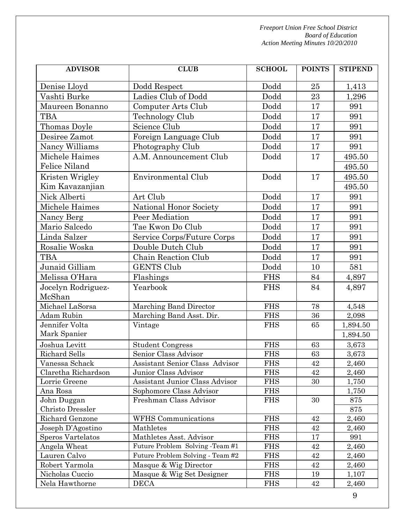| <b>ADVISOR</b>                       | <b>CLUB</b>                                            | <b>SCHOOL</b>            | <b>POINTS</b> | <b>STIPEND</b> |
|--------------------------------------|--------------------------------------------------------|--------------------------|---------------|----------------|
| Denise Lloyd                         | Dodd Respect                                           | Dodd                     | 25            | 1,413          |
| Vashti Burke                         | Ladies Club of Dodd                                    | Dodd                     | 23            | 1,296          |
| Maureen Bonanno                      | Computer Arts Club                                     | Dodd                     | 17            | 991            |
| <b>TBA</b>                           | Technology Club                                        | Dodd                     | 17            | 991            |
| Thomas Doyle                         | Science Club                                           | Dodd                     | 17            | 991            |
| Desiree Zamot                        | Foreign Language Club                                  | Dodd                     | 17            | 991            |
| Nancy Williams                       | Photography Club                                       | Dodd                     | 17            | 991            |
| Michele Haimes                       | A.M. Announcement Club                                 | Dodd                     | 17            | 495.50         |
| <b>Felice Niland</b>                 |                                                        |                          |               | 495.50         |
| Kristen Wrigley                      | Environmental Club                                     | Dodd                     | 17            | 495.50         |
| Kim Kavazanjian                      |                                                        |                          |               | 495.50         |
| Nick Alberti                         | Art Club                                               | Dodd                     | 17            | 991            |
| Michele Haimes                       | National Honor Society                                 | Dodd                     | 17            | 991            |
| Nancy Berg                           | Peer Mediation                                         | Dodd                     | 17            | 991            |
| Mario Salcedo                        | Tae Kwon Do Club                                       | Dodd                     | 17            | 991            |
| Linda Salzer                         | Service Corps/Future Corps                             | Dodd                     | 17            | 991            |
| Rosalie Woska                        | Double Dutch Club                                      | Dodd                     | 17            | 991            |
| <b>TBA</b>                           | Chain Reaction Club                                    | Dodd                     | 17            | 991            |
| Junaid Gilliam                       | <b>GENTS Club</b>                                      | Dodd                     | 10            | 581            |
| Melissa O'Hara                       | Flashings                                              | <b>FHS</b>               | 84            | 4,897          |
| Jocelyn Rodriguez-                   | Yearbook                                               | <b>FHS</b>               | 84            | 4,897          |
| McShan                               |                                                        |                          |               |                |
| Michael LaSorsa                      | Marching Band Director                                 | <b>FHS</b>               | 78            | 4,548          |
| <b>Adam Rubin</b>                    | Marching Band Asst. Dir.                               | <b>FHS</b>               | 36            | 2,098          |
| Jennifer Volta                       | Vintage                                                | <b>FHS</b>               | 65            | 1,894.50       |
| Mark Spanier                         |                                                        |                          |               | 1,894.50       |
| Joshua Levitt                        | <b>Student Congress</b>                                | <b>FHS</b>               | 63            | 3,673          |
| Richard Sells                        | Senior Class Advisor                                   | <b>FHS</b>               | 63            | 3,673          |
| Vanessa Schack                       | Assistant Senior Class Advisor                         | <b>FHS</b>               | 42            | 2,460          |
| Claretha Richardson<br>Lorrie Greene | Junior Class Advisor<br>Assistant Junior Class Advisor | <b>FHS</b><br><b>FHS</b> | 42<br>30      | 2,460          |
| Ana Rosa                             | Sophomore Class Advisor                                | <b>FHS</b>               |               | 1,750<br>1,750 |
| John Duggan                          | Freshman Class Advisor                                 | <b>FHS</b>               | 30            | 875            |
| Christo Dressler                     |                                                        |                          |               | 875            |
| Richard Genzone                      | <b>WFHS</b> Communications                             | <b>FHS</b>               | 42            | 2,460          |
| Joseph D'Agostino                    | Mathletes                                              | <b>FHS</b>               | 42            | 2,460          |
| Speros Vartelatos                    | Mathletes Asst. Advisor                                | <b>FHS</b>               | 17            | 991            |
| Angela Wheat                         | Future Problem Solving -Team #1                        | <b>FHS</b>               | 42            | 2,460          |
| Lauren Calvo                         | Future Problem Solving - Team #2                       | <b>FHS</b>               | 42            | 2,460          |
| Robert Yarmola                       | Masque & Wig Director                                  | <b>FHS</b>               | 42            | 2,460          |
| Nicholas Cuccio                      | Masque & Wig Set Designer                              | <b>FHS</b>               | 19            | 1,107          |
| Nela Hawthorne                       | <b>DECA</b>                                            | <b>FHS</b>               | 42            | 2,460          |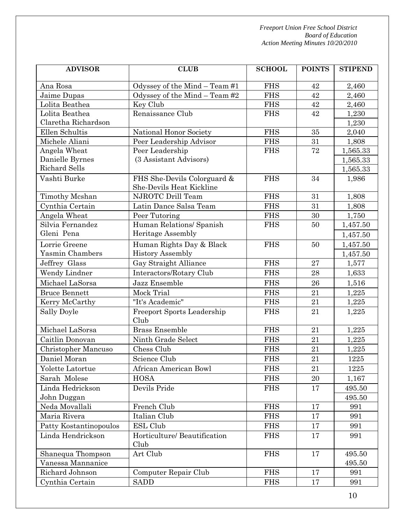| <b>ADVISOR</b>             | <b>CLUB</b>                                             | <b>SCHOOL</b> | <b>POINTS</b> | <b>STIPEND</b> |
|----------------------------|---------------------------------------------------------|---------------|---------------|----------------|
| Ana Rosa                   | Odyssey of the Mind - Team #1                           | <b>FHS</b>    | 42            | 2,460          |
| Jaime Dupas                | Odyssey of the Mind - Team #2                           | <b>FHS</b>    | 42            | 2,460          |
| Lolita Beathea             | Key Club                                                | <b>FHS</b>    | 42            | 2,460          |
| Lolita Beathea             | Renaissance Club                                        | <b>FHS</b>    | 42            | 1,230          |
| Claretha Richardson        |                                                         |               |               | 1,230          |
| Ellen Schultis             | National Honor Society                                  | <b>FHS</b>    | 35            | 2,040          |
| Michele Aliani             | Peer Leadership Advisor                                 | <b>FHS</b>    | 31            | 1,808          |
| Angela Wheat               | Peer Leadership                                         | <b>FHS</b>    | $\sqrt{72}$   | 1,565.33       |
| Danielle Byrnes            | (3 Assistant Advisors)                                  |               |               | 1,565.33       |
| <b>Richard Sells</b>       |                                                         |               |               | 1,565.33       |
| Vashti Burke               | FHS She-Devils Colorguard &<br>She-Devils Heat Kickline | <b>FHS</b>    | 34            | 1,986          |
| Timothy Mcshan             | NJROTC Drill Team                                       | <b>FHS</b>    | 31            | 1,808          |
| Cynthia Certain            | Latin Dance Salsa Team                                  | <b>FHS</b>    | 31            | 1,808          |
| Angela Wheat               | Peer Tutoring                                           | <b>FHS</b>    | 30            | 1,750          |
| Silvia Fernandez           | Human Relations/ Spanish                                | <b>FHS</b>    | 50            | 1,457.50       |
| Gleni Pena                 | <b>Heritage Assembly</b>                                |               |               | 1,457.50       |
| Lorrie Greene              | Human Rights Day & Black                                | <b>FHS</b>    | 50            | 1,457.50       |
| Yasmin Chambers            | <b>History Assembly</b>                                 |               |               | 1,457.50       |
| Jeffrey Glass              | Gay Straight Alliance                                   | <b>FHS</b>    | 27            | 1,577          |
| Wendy Lindner              | Interactors/Rotary Club                                 | <b>FHS</b>    | 28            | 1,633          |
| Michael LaSorsa            | Jazz Ensemble                                           | <b>FHS</b>    | 26            | 1,516          |
| <b>Bruce Bennett</b>       | Mock Trial                                              | <b>FHS</b>    | 21            | 1,225          |
| Kerry McCarthy             | "It's Academic"                                         | <b>FHS</b>    | 21            | 1,225          |
| Sally Doyle                | <b>Freeport Sports Leadership</b><br>Club               | <b>FHS</b>    | 21            | 1,225          |
| Michael LaSorsa            | <b>Brass Ensemble</b>                                   | <b>FHS</b>    | 21            | 1,225          |
| Caitlin Donovan            | Ninth Grade Select                                      | <b>FHS</b>    | 21            | 1,225          |
| <b>Christopher Mancuso</b> | Chess Club                                              | <b>FHS</b>    | 21            | 1,225          |
| Daniel Moran               | Science Club                                            | <b>FHS</b>    | $21\,$        | 1225           |
| Yolette Latortue           | African American Bowl                                   | <b>FHS</b>    | 21            | 1225           |
| Sarah Molese               | <b>HOSA</b>                                             | <b>FHS</b>    | 20            | 1,167          |
| Linda Hedrickson           | Devils Pride                                            | <b>FHS</b>    | 17            | 495.50         |
| John Duggan                |                                                         |               |               | 495.50         |
| Neda Movallali             | French Club                                             | <b>FHS</b>    | 17            | 991            |
| Maria Rivera               | Italian Club                                            | <b>FHS</b>    | 17            | 991            |
| Patty Kostantinopoulos     | ESL Club                                                | <b>FHS</b>    | 17            | 991            |
| Linda Hendrickson          | Horticulture/ Beautification<br>Club                    | <b>FHS</b>    | 17            | 991            |
| Shanequa Thompson          | Art Club                                                | <b>FHS</b>    | 17            | 495.50         |
| Vanessa Mannanice          |                                                         |               |               | 495.50         |
| Richard Johnson            | Computer Repair Club                                    | <b>FHS</b>    | 17            | 991            |
| Cynthia Certain            | <b>SADD</b>                                             | <b>FHS</b>    | 17            | 991            |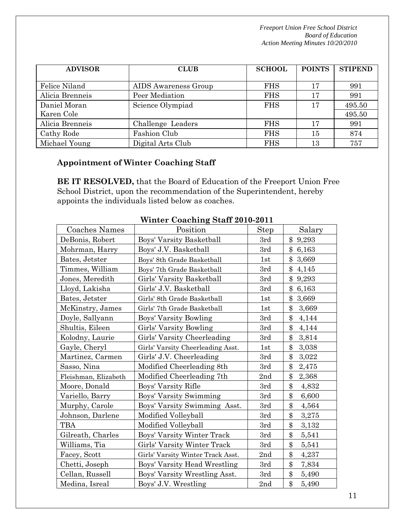| <b>ADVISOR</b>  | <b>CLUB</b>          | <b>SCHOOL</b> | <b>POINTS</b> | <b>STIPEND</b> |
|-----------------|----------------------|---------------|---------------|----------------|
|                 |                      |               |               |                |
| Felice Niland   | AIDS Awareness Group | <b>FHS</b>    | 17            | 991            |
| Alicia Brenneis | Peer Mediation       | <b>FHS</b>    | 17            | 991            |
| Daniel Moran    | Science Olympiad     | <b>FHS</b>    | 17            | 495.50         |
| Karen Cole      |                      |               |               | 495.50         |
| Alicia Brenneis | Challenge Leaders    | <b>FHS</b>    | 17            | 991            |
| Cathy Rode      | Fashion Club         | <b>FHS</b>    | 15            | 874            |
| Michael Young   | Digital Arts Club    | <b>FHS</b>    | 13            | 757            |

# **Appointment of Winter Coaching Staff**

**BE IT RESOLVED,** that the Board of Education of the Freeport Union Free School District, upon the recommendation of the Superintendent, hereby appoints the individuals listed below as coaches.

|                      | $\frac{1}{2}$ $\frac{1}{2}$ $\frac{1}{2}$ $\frac{1}{2}$ $\frac{1}{2}$ $\frac{1}{2}$ $\frac{1}{2}$ $\frac{1}{2}$ $\frac{1}{2}$ $\frac{1}{2}$ $\frac{1}{2}$ $\frac{1}{2}$ $\frac{1}{2}$ $\frac{1}{2}$ $\frac{1}{2}$ $\frac{1}{2}$ $\frac{1}{2}$ $\frac{1}{2}$ $\frac{1}{2}$ $\frac{1}{2}$ $\frac{1}{2}$ $\frac{1}{2}$ |             |                |
|----------------------|---------------------------------------------------------------------------------------------------------------------------------------------------------------------------------------------------------------------------------------------------------------------------------------------------------------------|-------------|----------------|
| Coaches Names        | Position                                                                                                                                                                                                                                                                                                            | <b>Step</b> | Salary         |
| DeBonis, Robert      | Boys' Varsity Basketball                                                                                                                                                                                                                                                                                            | 3rd         | \$<br>9,293    |
| Mohrman, Harry       | Boys' J.V. Basketball                                                                                                                                                                                                                                                                                               | 3rd         | $\$\$<br>6,163 |
| Bates, Jetster       | Boys' 8th Grade Basketball                                                                                                                                                                                                                                                                                          | 1st         | \$<br>3,669    |
| Timmes, William      | Boys' 7th Grade Basketball                                                                                                                                                                                                                                                                                          | 3rd         | \$<br>4,145    |
| Jones, Meredith      | Girls' Varsity Basketball                                                                                                                                                                                                                                                                                           | 3rd         | \$<br>9,293    |
| Lloyd, Lakisha       | Girls' J.V. Basketball                                                                                                                                                                                                                                                                                              | 3rd         | \$<br>6,163    |
| Bates, Jetster       | Girls' 8th Grade Basketball                                                                                                                                                                                                                                                                                         | 1st         | \$<br>3,669    |
| McKinstry, James     | Girls' 7th Grade Basketball                                                                                                                                                                                                                                                                                         | 1st         | \$<br>3,669    |
| Doyle, Sallyann      | Boys' Varsity Bowling                                                                                                                                                                                                                                                                                               | 3rd         | \$<br>4,144    |
| Shultis, Eileen      | Girls' Varsity Bowling                                                                                                                                                                                                                                                                                              | 3rd         | \$<br>4,144    |
| Kolodny, Laurie      | Girls' Varsity Cheerleading                                                                                                                                                                                                                                                                                         | 3rd         | \$<br>3,814    |
| Gayle, Cheryl        | Girls' Varsity Cheerleading Asst.                                                                                                                                                                                                                                                                                   | 1st         | \$<br>3,038    |
| Martinez, Carmen     | Girls' J.V. Cheerleading                                                                                                                                                                                                                                                                                            | 3rd         | \$<br>3,022    |
| Sasso, Nina          | Modified Cheerleading 8th                                                                                                                                                                                                                                                                                           | 3rd         | \$<br>2,475    |
| Fleishman, Elizabeth | Modified Cheerleading 7th                                                                                                                                                                                                                                                                                           | 2nd         | \$<br>2,368    |
| Moore, Donald        | Boys' Varsity Rifle                                                                                                                                                                                                                                                                                                 | 3rd         | \$<br>4,832    |
| Variello, Barry      | Boys' Varsity Swimming                                                                                                                                                                                                                                                                                              | 3rd         | \$<br>6,600    |
| Murphy, Carole       | Boys' Varsity Swimming Asst.                                                                                                                                                                                                                                                                                        | 3rd         | \$<br>4,564    |
| Johnson, Darlene     | Modified Volleyball                                                                                                                                                                                                                                                                                                 | 3rd         | \$<br>3,275    |
| TBA                  | Modified Volleyball                                                                                                                                                                                                                                                                                                 | 3rd         | \$<br>3,132    |
| Gilreath, Charles    | Boys' Varsity Winter Track                                                                                                                                                                                                                                                                                          | 3rd         | \$<br>5,541    |
| Williams, Tia        | Girls' Varsity Winter Track                                                                                                                                                                                                                                                                                         | 3rd         | \$<br>5,541    |
| Facey, Scott         | Girls' Varsity Winter Track Asst.                                                                                                                                                                                                                                                                                   | 2nd         | \$<br>4,237    |
| Chetti, Joseph       | Boys' Varsity Head Wrestling                                                                                                                                                                                                                                                                                        | 3rd         | \$<br>7,834    |
| Cellan, Russell      | Boys' Varsity Wrestling Asst.                                                                                                                                                                                                                                                                                       | 3rd         | \$<br>5,490    |
| Medina, Isreal       | Boys' J.V. Wrestling                                                                                                                                                                                                                                                                                                | 2nd         | \$<br>5,490    |

#### **Winter Coaching Staff 2010-2011**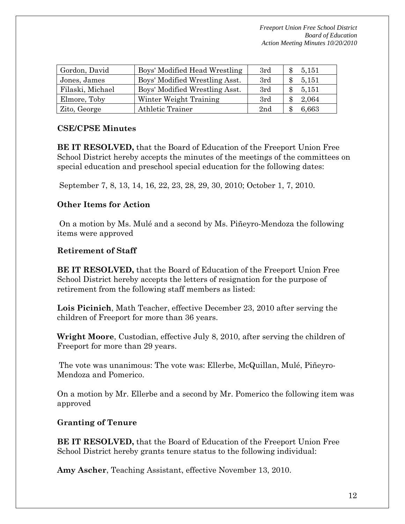| Gordon, David    | Boys' Modified Head Wrestling  | 3rd | 5,151 |
|------------------|--------------------------------|-----|-------|
| Jones, James     | Boys' Modified Wrestling Asst. | 3rd | 5,151 |
| Filaski, Michael | Boys' Modified Wrestling Asst. | 3rd | 5,151 |
| Elmore, Toby     | Winter Weight Training         | 3rd | 2,064 |
| Zito, George     | <b>Athletic Trainer</b>        | 2nd | 6,663 |

## **CSE/CPSE Minutes**

**BE IT RESOLVED,** that the Board of Education of the Freeport Union Free School District hereby accepts the minutes of the meetings of the committees on special education and preschool special education for the following dates:

September 7, 8, 13, 14, 16, 22, 23, 28, 29, 30, 2010; October 1, 7, 2010.

## **Other Items for Action**

 On a motion by Ms. Mulé and a second by Ms. Piñeyro-Mendoza the following items were approved

## **Retirement of Staff**

**BE IT RESOLVED,** that the Board of Education of the Freeport Union Free School District hereby accepts the letters of resignation for the purpose of retirement from the following staff members as listed:

**Lois Picinich**, Math Teacher, effective December 23, 2010 after serving the children of Freeport for more than 36 years.

**Wright Moore**, Custodian, effective July 8, 2010, after serving the children of Freeport for more than 29 years.

The vote was unanimous: The vote was: Ellerbe, McQuillan, Mulé, Piñeyro-Mendoza and Pomerico.

On a motion by Mr. Ellerbe and a second by Mr. Pomerico the following item was approved

## **Granting of Tenure**

**BE IT RESOLVED,** that the Board of Education of the Freeport Union Free School District hereby grants tenure status to the following individual:

**Amy Ascher**, Teaching Assistant, effective November 13, 2010.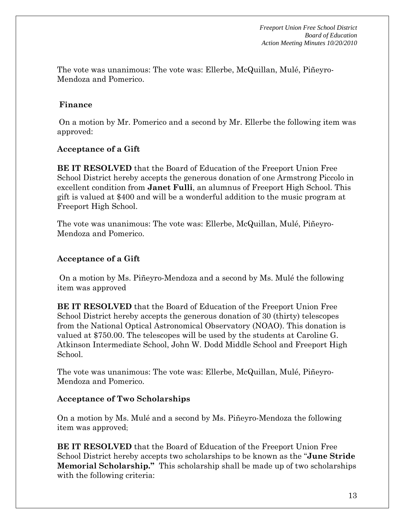The vote was unanimous: The vote was: Ellerbe, McQuillan, Mulé, Piñeyro-Mendoza and Pomerico.

#### **Finance**

On a motion by Mr. Pomerico and a second by Mr. Ellerbe the following item was approved:

#### **Acceptance of a Gift**

**BE IT RESOLVED** that the Board of Education of the Freeport Union Free School District hereby accepts the generous donation of one Armstrong Piccolo in excellent condition from **Janet Fulli**, an alumnus of Freeport High School. This gift is valued at \$400 and will be a wonderful addition to the music program at Freeport High School.

The vote was unanimous: The vote was: Ellerbe, McQuillan, Mulé, Piñeyro-Mendoza and Pomerico.

#### **Acceptance of a Gift**

 On a motion by Ms. Piñeyro-Mendoza and a second by Ms. Mulé the following item was approved

**BE IT RESOLVED** that the Board of Education of the Freeport Union Free School District hereby accepts the generous donation of 30 (thirty) telescopes from the National Optical Astronomical Observatory (NOAO). This donation is valued at \$750.00. The telescopes will be used by the students at Caroline G. Atkinson Intermediate School, John W. Dodd Middle School and Freeport High School.

The vote was unanimous: The vote was: Ellerbe, McQuillan, Mulé, Piñeyro-Mendoza and Pomerico.

#### **Acceptance of Two Scholarships**

On a motion by Ms. Mulé and a second by Ms. Piñeyro-Mendoza the following item was approved;

**BE IT RESOLVED** that the Board of Education of the Freeport Union Free School District hereby accepts two scholarships to be known as the "**June Stride Memorial Scholarship."** This scholarship shall be made up of two scholarships with the following criteria: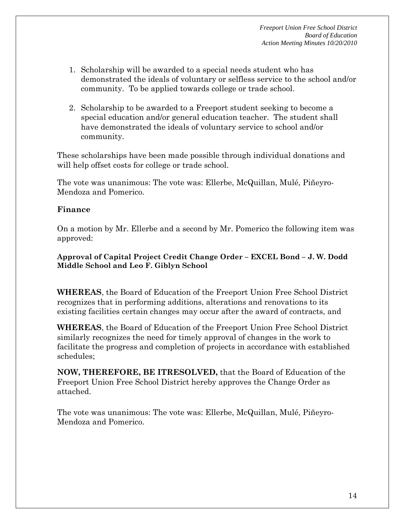- 1. Scholarship will be awarded to a special needs student who has demonstrated the ideals of voluntary or selfless service to the school and/or community. To be applied towards college or trade school.
- 2. Scholarship to be awarded to a Freeport student seeking to become a special education and/or general education teacher. The student shall have demonstrated the ideals of voluntary service to school and/or community.

These scholarships have been made possible through individual donations and will help offset costs for college or trade school.

The vote was unanimous: The vote was: Ellerbe, McQuillan, Mulé, Piñeyro-Mendoza and Pomerico.

#### **Finance**

On a motion by Mr. Ellerbe and a second by Mr. Pomerico the following item was approved:

#### **Approval of Capital Project Credit Change Order – EXCEL Bond – J. W. Dodd Middle School and Leo F. Giblyn School**

**WHEREAS**, the Board of Education of the Freeport Union Free School District recognizes that in performing additions, alterations and renovations to its existing facilities certain changes may occur after the award of contracts, and

**WHEREAS**, the Board of Education of the Freeport Union Free School District similarly recognizes the need for timely approval of changes in the work to facilitate the progress and completion of projects in accordance with established schedules;

**NOW, THEREFORE, BE ITRESOLVED,** that the Board of Education of the Freeport Union Free School District hereby approves the Change Order as attached.

The vote was unanimous: The vote was: Ellerbe, McQuillan, Mulé, Piñeyro-Mendoza and Pomerico.